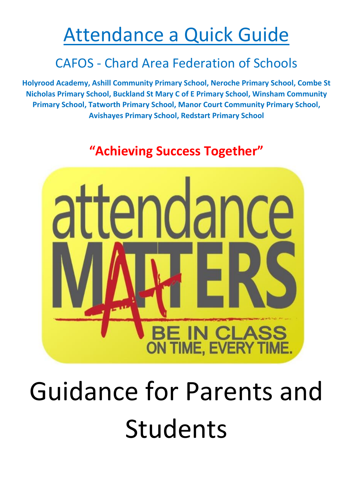### Attendance a Quick Guide

### CAFOS - Chard Area Federation of Schools

**Holyrood Academy, Ashill Community Primary School, Neroche Primary School, Combe St Nicholas Primary School, Buckland St Mary C of E Primary School, Winsham Community Primary School, Tatworth Primary School, Manor Court Community Primary School, Avishayes Primary'School,'Redstart Primary'School'**

### **"Achieving Success Together"**



# Guidance for Parents and Students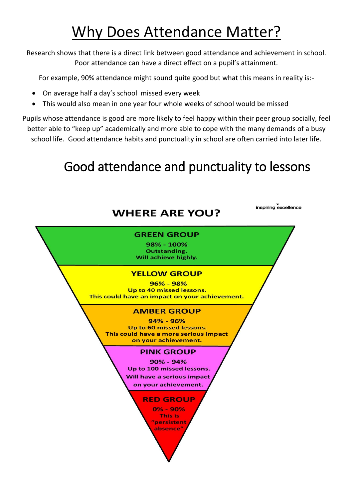### Why Does Attendance Matter?

Research shows that there is a direct link between good attendance and achievement in school. Poor attendance can have a direct effect on a pupil's attainment.

For example, 90% attendance might sound quite good but what this means in reality is:-

- On average half a day's school missed every week
- This would also mean in one year four whole weeks of school would be missed

Pupils whose attendance is good are more likely to feel happy within their peer group socially, feel better able to "keep up" academically and more able to cope with the many demands of a busy school life. Good attendance habits and punctuality in school are often carried into later life.

### Good attendance and punctuality to lessons

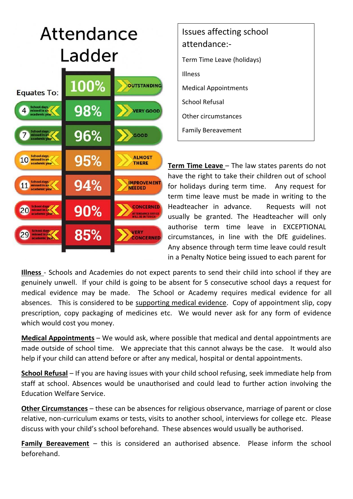## Attendance Ladder



| Issues affecting school<br>attendance:- |
|-----------------------------------------|
| Term Time Leave (holidays)              |
| <b>Illness</b>                          |
| <b>Medical Appointments</b>             |
| School Refusal                          |
| Other circumstances                     |
| <b>Family Bereavement</b>               |

**Term Time Leave** - The law states parents do not have the right to take their children out of school for holidays during term time. Any request for term time leave must be made in writing to the Headteacher in advance. Requests will not usually be granted. The Headteacher will only authorise term time leave in EXCEPTIONAL  $circumstances,$  in line with the DfE guidelines. Any absence through term time leave could result in a Penalty Notice being issued to each parent for

Illness - Schools and Academies do not expect parents to send their child into school if they are genuinely unwell. If your child is going to be absent for 5 consecutive school days a request for medical evidence may be made. The School or Academy requires medical evidence for all absences. This is considered to be supporting medical evidence. Copy of appointment slip, copy prescription, copy packaging of medicines etc. We would never ask for any form of evidence which would cost you money.  $\epsilon$  poronto to cond the

**Medical Appointments** – We would ask, where possible that medical and dental appointments are made outside of school time. We appreciate that this cannot always be the case. It would also help if your child can attend before or after any medical, hospital or dental appointments.

**School Refusal** – If you are having issues with your child school refusing, seek immediate help from staff at school. Absences would be unauthorised and could lead to further action involving the Education Welfare Service.

**Other Circumstances** – these can be absences for religious observance, marriage of parent or close relative, non-curriculum exams or tests, visits to another school, interviews for college etc. Please discuss with your child's school beforehand. These absences would usually be authorised.

**Family Bereavement** – this is considered an authorised absence. Please inform the school beforehand.